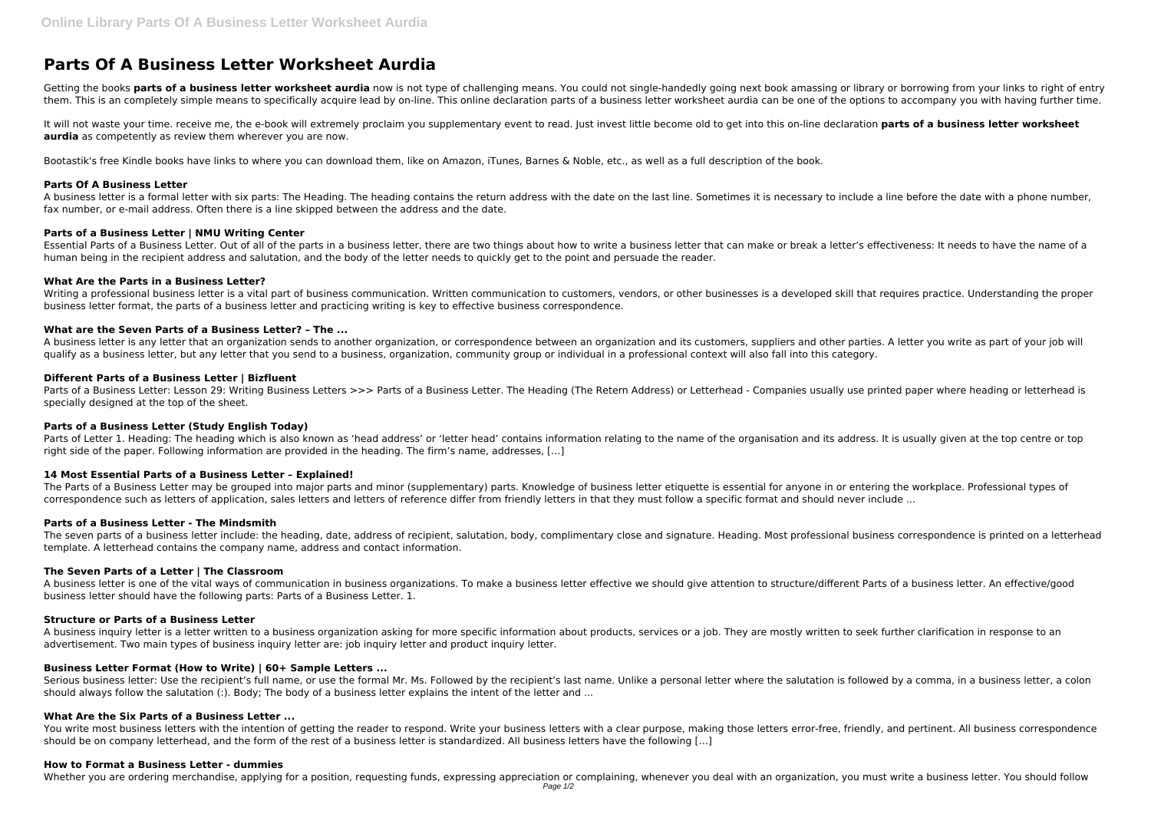# **Parts Of A Business Letter Worksheet Aurdia**

Getting the books parts of a business letter worksheet aurdia now is not type of challenging means. You could not single-handedly going next book amassing or library or borrowing from your links to right of entry them. This is an completely simple means to specifically acquire lead by on-line. This online declaration parts of a business letter worksheet aurdia can be one of the options to accompany you with having further time.

It will not waste your time. receive me, the e-book will extremely proclaim you supplementary event to read. Just invest little become old to get into this on-line declaration **parts of a business letter worksheet aurdia** as competently as review them wherever you are now.

Bootastik's free Kindle books have links to where you can download them, like on Amazon, iTunes, Barnes & Noble, etc., as well as a full description of the book.

# **Parts Of A Business Letter**

Writing a professional business letter is a vital part of business communication. Written communication to customers, vendors, or other businesses is a developed skill that requires practice. Understanding the proper business letter format, the parts of a business letter and practicing writing is key to effective business correspondence.

A business letter is a formal letter with six parts: The Heading. The heading contains the return address with the date on the last line. Sometimes it is necessary to include a line before the date with a phone number, fax number, or e-mail address. Often there is a line skipped between the address and the date.

# **Parts of a Business Letter | NMU Writing Center**

Parts of a Business Letter: Lesson 29: Writing Business Letters >>> Parts of a Business Letter. The Heading (The Retern Address) or Letterhead - Companies usually use printed paper where heading or letterhead is specially designed at the top of the sheet.

Essential Parts of a Business Letter. Out of all of the parts in a business letter, there are two things about how to write a business letter that can make or break a letter's effectiveness: It needs to have the name of a human being in the recipient address and salutation, and the body of the letter needs to quickly get to the point and persuade the reader.

Parts of Letter 1. Heading: The heading which is also known as 'head address' or 'letter head' contains information relating to the name of the organisation and its address. It is usually given at the top centre or top right side of the paper. Following information are provided in the heading. The firm's name, addresses, […]

# **What Are the Parts in a Business Letter?**

The Parts of a Business Letter may be grouped into major parts and minor (supplementary) parts. Knowledge of business letter etiquette is essential for anyone in or entering the workplace. Professional types of correspondence such as letters of application, sales letters and letters of reference differ from friendly letters in that they must follow a specific format and should never include ...

The seven parts of a business letter include: the heading, date, address of recipient, salutation, body, complimentary close and signature. Heading. Most professional business correspondence is printed on a letterhead template. A letterhead contains the company name, address and contact information.

# **What are the Seven Parts of a Business Letter? – The ...**

A business letter is any letter that an organization sends to another organization, or correspondence between an organization and its customers, suppliers and other parties. A letter you write as part of your job will qualify as a business letter, but any letter that you send to a business, organization, community group or individual in a professional context will also fall into this category.

A business inquiry letter is a letter written to a business organization asking for more specific information about products, services or a job. They are mostly written to seek further clarification in response to an advertisement. Two main types of business inquiry letter are: job inquiry letter and product inquiry letter.

Serious business letter: Use the recipient's full name, or use the formal Mr. Ms. Followed by the recipient's last name. Unlike a personal letter where the salutation is followed by a comma, in a business letter, a colon should always follow the salutation (:). Body; The body of a business letter explains the intent of the letter and ...

# **Different Parts of a Business Letter | Bizfluent**

You write most business letters with the intention of getting the reader to respond. Write your business letters with a clear purpose, making those letters error-free, friendly, and pertinent. All business correspondence should be on company letterhead, and the form of the rest of a business letter is standardized. All business letters have the following […]

# **Parts of a Business Letter (Study English Today)**

# **14 Most Essential Parts of a Business Letter – Explained!**

# **Parts of a Business Letter - The Mindsmith**

# **The Seven Parts of a Letter | The Classroom**

A business letter is one of the vital ways of communication in business organizations. To make a business letter effective we should give attention to structure/different Parts of a business letter. An effective/good business letter should have the following parts: Parts of a Business Letter. 1.

# **Structure or Parts of a Business Letter**

# **Business Letter Format (How to Write) | 60+ Sample Letters ...**

### **What Are the Six Parts of a Business Letter ...**

### **How to Format a Business Letter - dummies**

Whether you are ordering merchandise, applying for a position, requesting funds, expressing appreciation or complaining, whenever you deal with an organization, you must write a business letter. You should follow